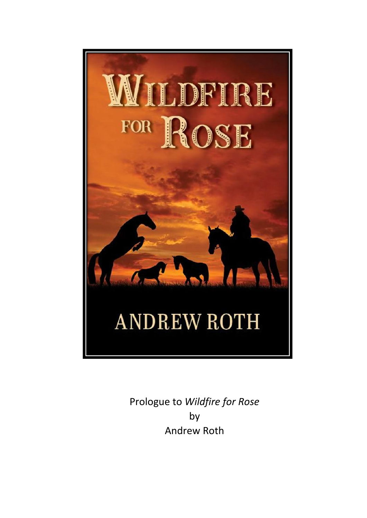

Prologue to *Wildfire for Rose*  by Andrew Roth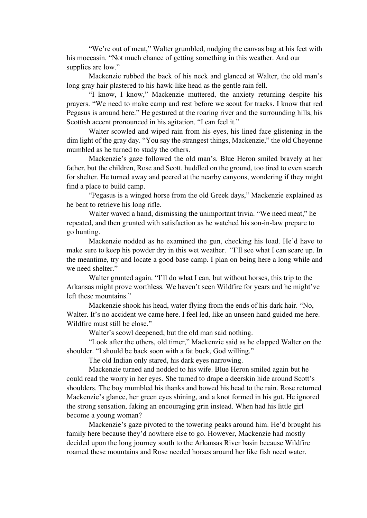"We're out of meat," Walter grumbled, nudging the canvas bag at his feet with his moccasin. "Not much chance of getting something in this weather. And our supplies are low."

Mackenzie rubbed the back of his neck and glanced at Walter, the old man's long gray hair plastered to his hawk-like head as the gentle rain fell.

"I know, I know," Mackenzie muttered, the anxiety returning despite his prayers. "We need to make camp and rest before we scout for tracks. I know that red Pegasus is around here." He gestured at the roaring river and the surrounding hills, his Scottish accent pronounced in his agitation. "I can feel it."

Walter scowled and wiped rain from his eyes, his lined face glistening in the dim light of the gray day. "You say the strangest things, Mackenzie," the old Cheyenne mumbled as he turned to study the others.

Mackenzie's gaze followed the old man's. Blue Heron smiled bravely at her father, but the children, Rose and Scott, huddled on the ground, too tired to even search for shelter. He turned away and peered at the nearby canyons, wondering if they might find a place to build camp.

"Pegasus is a winged horse from the old Greek days," Mackenzie explained as he bent to retrieve his long rifle.

Walter waved a hand, dismissing the unimportant trivia. "We need meat," he repeated, and then grunted with satisfaction as he watched his son-in-law prepare to go hunting.

Mackenzie nodded as he examined the gun, checking his load. He'd have to make sure to keep his powder dry in this wet weather. "I'll see what I can scare up. In the meantime, try and locate a good base camp. I plan on being here a long while and we need shelter."

Walter grunted again. "I'll do what I can, but without horses, this trip to the Arkansas might prove worthless. We haven't seen Wildfire for years and he might've left these mountains."

Mackenzie shook his head, water flying from the ends of his dark hair. "No, Walter. It's no accident we came here. I feel led, like an unseen hand guided me here. Wildfire must still be close."

Walter's scowl deepened, but the old man said nothing.

"Look after the others, old timer," Mackenzie said as he clapped Walter on the shoulder. "I should be back soon with a fat buck, God willing."

The old Indian only stared, his dark eyes narrowing.

Mackenzie turned and nodded to his wife. Blue Heron smiled again but he could read the worry in her eyes. She turned to drape a deerskin hide around Scott's shoulders. The boy mumbled his thanks and bowed his head to the rain. Rose returned Mackenzie's glance, her green eyes shining, and a knot formed in his gut. He ignored the strong sensation, faking an encouraging grin instead. When had his little girl become a young woman?

Mackenzie's gaze pivoted to the towering peaks around him. He'd brought his family here because they'd nowhere else to go. However, Mackenzie had mostly decided upon the long journey south to the Arkansas River basin because Wildfire roamed these mountains and Rose needed horses around her like fish need water.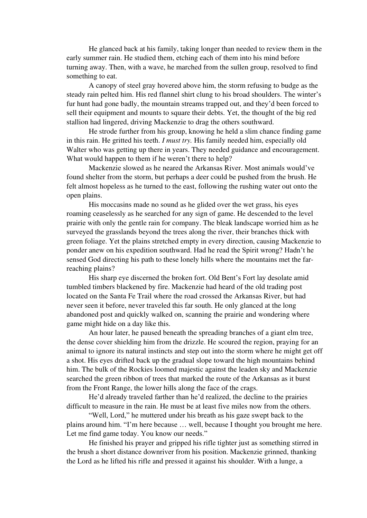He glanced back at his family, taking longer than needed to review them in the early summer rain. He studied them, etching each of them into his mind before turning away. Then, with a wave, he marched from the sullen group, resolved to find something to eat.

A canopy of steel gray hovered above him, the storm refusing to budge as the steady rain pelted him. His red flannel shirt clung to his broad shoulders. The winter's fur hunt had gone badly, the mountain streams trapped out, and they'd been forced to sell their equipment and mounts to square their debts. Yet, the thought of the big red stallion had lingered, driving Mackenzie to drag the others southward.

He strode further from his group, knowing he held a slim chance finding game in this rain. He gritted his teeth. *I must try.* His family needed him, especially old Walter who was getting up there in years. They needed guidance and encouragement. What would happen to them if he weren't there to help?

Mackenzie slowed as he neared the Arkansas River. Most animals would've found shelter from the storm, but perhaps a deer could be pushed from the brush. He felt almost hopeless as he turned to the east, following the rushing water out onto the open plains.

His moccasins made no sound as he glided over the wet grass, his eyes roaming ceaselessly as he searched for any sign of game. He descended to the level prairie with only the gentle rain for company. The bleak landscape worried him as he surveyed the grasslands beyond the trees along the river, their branches thick with green foliage. Yet the plains stretched empty in every direction, causing Mackenzie to ponder anew on his expedition southward. Had he read the Spirit wrong? Hadn't he sensed God directing his path to these lonely hills where the mountains met the farreaching plains?

His sharp eye discerned the broken fort. Old Bent's Fort lay desolate amid tumbled timbers blackened by fire. Mackenzie had heard of the old trading post located on the Santa Fe Trail where the road crossed the Arkansas River, but had never seen it before, never traveled this far south. He only glanced at the long abandoned post and quickly walked on, scanning the prairie and wondering where game might hide on a day like this.

An hour later, he paused beneath the spreading branches of a giant elm tree, the dense cover shielding him from the drizzle. He scoured the region, praying for an animal to ignore its natural instincts and step out into the storm where he might get off a shot. His eyes drifted back up the gradual slope toward the high mountains behind him. The bulk of the Rockies loomed majestic against the leaden sky and Mackenzie searched the green ribbon of trees that marked the route of the Arkansas as it burst from the Front Range, the lower hills along the face of the crags.

He'd already traveled farther than he'd realized, the decline to the prairies difficult to measure in the rain. He must be at least five miles now from the others.

"Well, Lord," he muttered under his breath as his gaze swept back to the plains around him. "I'm here because … well, because I thought you brought me here. Let me find game today. You know our needs."

He finished his prayer and gripped his rifle tighter just as something stirred in the brush a short distance downriver from his position. Mackenzie grinned, thanking the Lord as he lifted his rifle and pressed it against his shoulder. With a lunge, a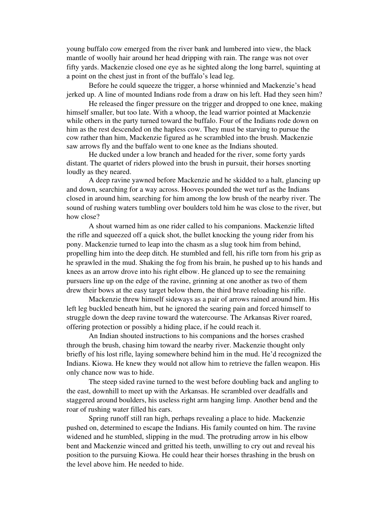young buffalo cow emerged from the river bank and lumbered into view, the black mantle of woolly hair around her head dripping with rain. The range was not over fifty yards. Mackenzie closed one eye as he sighted along the long barrel, squinting at a point on the chest just in front of the buffalo's lead leg.

Before he could squeeze the trigger, a horse whinnied and Mackenzie's head jerked up. A line of mounted Indians rode from a draw on his left. Had they seen him?

He released the finger pressure on the trigger and dropped to one knee, making himself smaller, but too late. With a whoop, the lead warrior pointed at Mackenzie while others in the party turned toward the buffalo. Four of the Indians rode down on him as the rest descended on the hapless cow. They must be starving to pursue the cow rather than him, Mackenzie figured as he scrambled into the brush. Mackenzie saw arrows fly and the buffalo went to one knee as the Indians shouted.

He ducked under a low branch and headed for the river, some forty yards distant. The quartet of riders plowed into the brush in pursuit, their horses snorting loudly as they neared.

A deep ravine yawned before Mackenzie and he skidded to a halt, glancing up and down, searching for a way across. Hooves pounded the wet turf as the Indians closed in around him, searching for him among the low brush of the nearby river. The sound of rushing waters tumbling over boulders told him he was close to the river, but how close?

A shout warned him as one rider called to his companions. Mackenzie lifted the rifle and squeezed off a quick shot, the bullet knocking the young rider from his pony. Mackenzie turned to leap into the chasm as a slug took him from behind, propelling him into the deep ditch. He stumbled and fell, his rifle torn from his grip as he sprawled in the mud. Shaking the fog from his brain, he pushed up to his hands and knees as an arrow drove into his right elbow. He glanced up to see the remaining pursuers line up on the edge of the ravine, grinning at one another as two of them drew their bows at the easy target below them, the third brave reloading his rifle.

Mackenzie threw himself sideways as a pair of arrows rained around him. His left leg buckled beneath him, but he ignored the searing pain and forced himself to struggle down the deep ravine toward the watercourse. The Arkansas River roared, offering protection or possibly a hiding place, if he could reach it.

An Indian shouted instructions to his companions and the horses crashed through the brush, chasing him toward the nearby river. Mackenzie thought only briefly of his lost rifle, laying somewhere behind him in the mud. He'd recognized the Indians. Kiowa. He knew they would not allow him to retrieve the fallen weapon. His only chance now was to hide.

The steep sided ravine turned to the west before doubling back and angling to the east, downhill to meet up with the Arkansas. He scrambled over deadfalls and staggered around boulders, his useless right arm hanging limp. Another bend and the roar of rushing water filled his ears.

Spring runoff still ran high, perhaps revealing a place to hide. Mackenzie pushed on, determined to escape the Indians. His family counted on him. The ravine widened and he stumbled, slipping in the mud. The protruding arrow in his elbow bent and Mackenzie winced and gritted his teeth, unwilling to cry out and reveal his position to the pursuing Kiowa. He could hear their horses thrashing in the brush on the level above him. He needed to hide.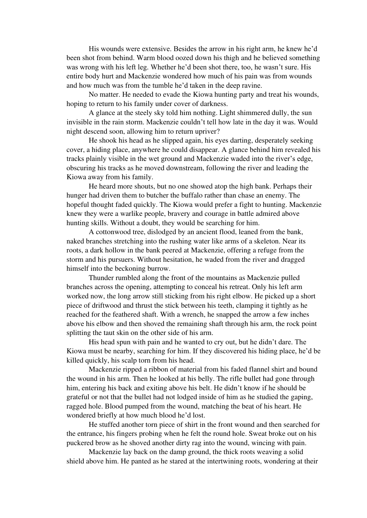His wounds were extensive. Besides the arrow in his right arm, he knew he'd been shot from behind. Warm blood oozed down his thigh and he believed something was wrong with his left leg. Whether he'd been shot there, too, he wasn't sure. His entire body hurt and Mackenzie wondered how much of his pain was from wounds and how much was from the tumble he'd taken in the deep ravine.

No matter. He needed to evade the Kiowa hunting party and treat his wounds, hoping to return to his family under cover of darkness.

A glance at the steely sky told him nothing. Light shimmered dully, the sun invisible in the rain storm. Mackenzie couldn't tell how late in the day it was. Would night descend soon, allowing him to return upriver?

He shook his head as he slipped again, his eyes darting, desperately seeking cover, a hiding place, anywhere he could disappear. A glance behind him revealed his tracks plainly visible in the wet ground and Mackenzie waded into the river's edge, obscuring his tracks as he moved downstream, following the river and leading the Kiowa away from his family.

He heard more shouts, but no one showed atop the high bank. Perhaps their hunger had driven them to butcher the buffalo rather than chase an enemy. The hopeful thought faded quickly. The Kiowa would prefer a fight to hunting. Mackenzie knew they were a warlike people, bravery and courage in battle admired above hunting skills. Without a doubt, they would be searching for him.

A cottonwood tree, dislodged by an ancient flood, leaned from the bank, naked branches stretching into the rushing water like arms of a skeleton. Near its roots, a dark hollow in the bank peered at Mackenzie, offering a refuge from the storm and his pursuers. Without hesitation, he waded from the river and dragged himself into the beckoning burrow.

Thunder rumbled along the front of the mountains as Mackenzie pulled branches across the opening, attempting to conceal his retreat. Only his left arm worked now, the long arrow still sticking from his right elbow. He picked up a short piece of driftwood and thrust the stick between his teeth, clamping it tightly as he reached for the feathered shaft. With a wrench, he snapped the arrow a few inches above his elbow and then shoved the remaining shaft through his arm, the rock point splitting the taut skin on the other side of his arm.

His head spun with pain and he wanted to cry out, but he didn't dare. The Kiowa must be nearby, searching for him. If they discovered his hiding place, he'd be killed quickly, his scalp torn from his head.

Mackenzie ripped a ribbon of material from his faded flannel shirt and bound the wound in his arm. Then he looked at his belly. The rifle bullet had gone through him, entering his back and exiting above his belt. He didn't know if he should be grateful or not that the bullet had not lodged inside of him as he studied the gaping, ragged hole. Blood pumped from the wound, matching the beat of his heart. He wondered briefly at how much blood he'd lost.

He stuffed another torn piece of shirt in the front wound and then searched for the entrance, his fingers probing when he felt the round hole. Sweat broke out on his puckered brow as he shoved another dirty rag into the wound, wincing with pain.

Mackenzie lay back on the damp ground, the thick roots weaving a solid shield above him. He panted as he stared at the intertwining roots, wondering at their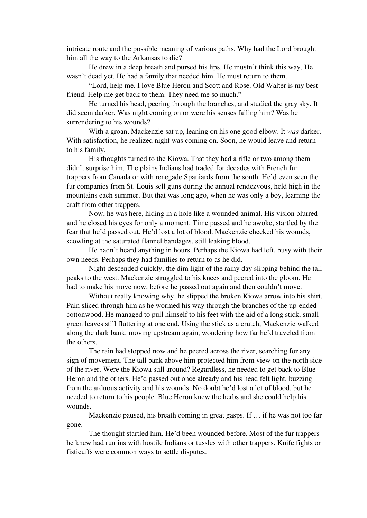intricate route and the possible meaning of various paths. Why had the Lord brought him all the way to the Arkansas to die?

He drew in a deep breath and pursed his lips. He mustn't think this way. He wasn't dead yet. He had a family that needed him. He must return to them.

"Lord, help me. I love Blue Heron and Scott and Rose. Old Walter is my best friend. Help me get back to them. They need me so much."

He turned his head, peering through the branches, and studied the gray sky. It did seem darker. Was night coming on or were his senses failing him? Was he surrendering to his wounds?

With a groan, Mackenzie sat up, leaning on his one good elbow. It *was* darker. With satisfaction, he realized night was coming on. Soon, he would leave and return to his family.

His thoughts turned to the Kiowa. That they had a rifle or two among them didn't surprise him. The plains Indians had traded for decades with French fur trappers from Canada or with renegade Spaniards from the south. He'd even seen the fur companies from St. Louis sell guns during the annual rendezvous, held high in the mountains each summer. But that was long ago, when he was only a boy, learning the craft from other trappers.

Now, he was here, hiding in a hole like a wounded animal. His vision blurred and he closed his eyes for only a moment. Time passed and he awoke, startled by the fear that he'd passed out. He'd lost a lot of blood. Mackenzie checked his wounds, scowling at the saturated flannel bandages, still leaking blood.

He hadn't heard anything in hours. Perhaps the Kiowa had left, busy with their own needs. Perhaps they had families to return to as he did.

Night descended quickly, the dim light of the rainy day slipping behind the tall peaks to the west. Mackenzie struggled to his knees and peered into the gloom. He had to make his move now, before he passed out again and then couldn't move.

Without really knowing why, he slipped the broken Kiowa arrow into his shirt. Pain sliced through him as he wormed his way through the branches of the up-ended cottonwood. He managed to pull himself to his feet with the aid of a long stick, small green leaves still fluttering at one end. Using the stick as a crutch, Mackenzie walked along the dark bank, moving upstream again, wondering how far he'd traveled from the others.

The rain had stopped now and he peered across the river, searching for any sign of movement. The tall bank above him protected him from view on the north side of the river. Were the Kiowa still around? Regardless, he needed to get back to Blue Heron and the others. He'd passed out once already and his head felt light, buzzing from the arduous activity and his wounds. No doubt he'd lost a lot of blood, but he needed to return to his people. Blue Heron knew the herbs and she could help his wounds.

Mackenzie paused, his breath coming in great gasps. If … if he was not too far gone.

The thought startled him. He'd been wounded before. Most of the fur trappers he knew had run ins with hostile Indians or tussles with other trappers. Knife fights or fisticuffs were common ways to settle disputes.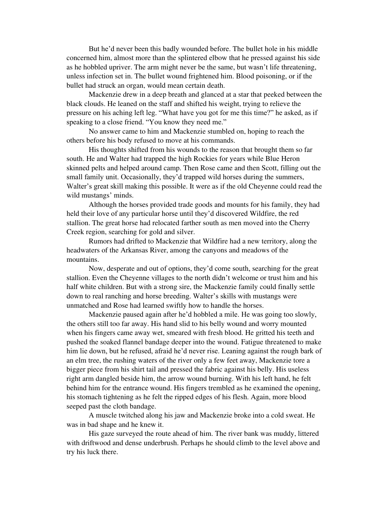But he'd never been this badly wounded before. The bullet hole in his middle concerned him, almost more than the splintered elbow that he pressed against his side as he hobbled upriver. The arm might never be the same, but wasn't life threatening, unless infection set in. The bullet wound frightened him. Blood poisoning, or if the bullet had struck an organ, would mean certain death.

Mackenzie drew in a deep breath and glanced at a star that peeked between the black clouds. He leaned on the staff and shifted his weight, trying to relieve the pressure on his aching left leg. "What have you got for me this time?" he asked, as if speaking to a close friend. "You know they need me."

No answer came to him and Mackenzie stumbled on, hoping to reach the others before his body refused to move at his commands.

His thoughts shifted from his wounds to the reason that brought them so far south. He and Walter had trapped the high Rockies for years while Blue Heron skinned pelts and helped around camp. Then Rose came and then Scott, filling out the small family unit. Occasionally, they'd trapped wild horses during the summers, Walter's great skill making this possible. It were as if the old Cheyenne could read the wild mustangs' minds.

Although the horses provided trade goods and mounts for his family, they had held their love of any particular horse until they'd discovered Wildfire, the red stallion. The great horse had relocated farther south as men moved into the Cherry Creek region, searching for gold and silver.

Rumors had drifted to Mackenzie that Wildfire had a new territory, along the headwaters of the Arkansas River, among the canyons and meadows of the mountains.

Now, desperate and out of options, they'd come south, searching for the great stallion. Even the Cheyenne villages to the north didn't welcome or trust him and his half white children. But with a strong sire, the Mackenzie family could finally settle down to real ranching and horse breeding. Walter's skills with mustangs were unmatched and Rose had learned swiftly how to handle the horses.

Mackenzie paused again after he'd hobbled a mile. He was going too slowly, the others still too far away. His hand slid to his belly wound and worry mounted when his fingers came away wet, smeared with fresh blood. He gritted his teeth and pushed the soaked flannel bandage deeper into the wound. Fatigue threatened to make him lie down, but he refused, afraid he'd never rise. Leaning against the rough bark of an elm tree, the rushing waters of the river only a few feet away, Mackenzie tore a bigger piece from his shirt tail and pressed the fabric against his belly. His useless right arm dangled beside him, the arrow wound burning. With his left hand, he felt behind him for the entrance wound. His fingers trembled as he examined the opening, his stomach tightening as he felt the ripped edges of his flesh. Again, more blood seeped past the cloth bandage.

A muscle twitched along his jaw and Mackenzie broke into a cold sweat. He was in bad shape and he knew it.

His gaze surveyed the route ahead of him. The river bank was muddy, littered with driftwood and dense underbrush. Perhaps he should climb to the level above and try his luck there.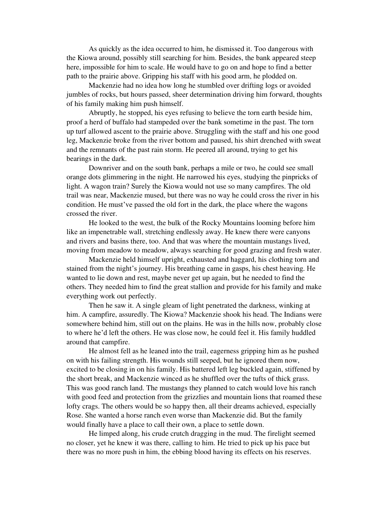As quickly as the idea occurred to him, he dismissed it. Too dangerous with the Kiowa around, possibly still searching for him. Besides, the bank appeared steep here, impossible for him to scale. He would have to go on and hope to find a better path to the prairie above. Gripping his staff with his good arm, he plodded on.

Mackenzie had no idea how long he stumbled over drifting logs or avoided jumbles of rocks, but hours passed, sheer determination driving him forward, thoughts of his family making him push himself.

Abruptly, he stopped, his eyes refusing to believe the torn earth beside him, proof a herd of buffalo had stampeded over the bank sometime in the past. The torn up turf allowed ascent to the prairie above. Struggling with the staff and his one good leg, Mackenzie broke from the river bottom and paused, his shirt drenched with sweat and the remnants of the past rain storm. He peered all around, trying to get his bearings in the dark.

Downriver and on the south bank, perhaps a mile or two, he could see small orange dots glimmering in the night. He narrowed his eyes, studying the pinpricks of light. A wagon train? Surely the Kiowa would not use so many campfires. The old trail was near, Mackenzie mused, but there was no way he could cross the river in his condition. He must've passed the old fort in the dark, the place where the wagons crossed the river.

He looked to the west, the bulk of the Rocky Mountains looming before him like an impenetrable wall, stretching endlessly away. He knew there were canyons and rivers and basins there, too. And that was where the mountain mustangs lived, moving from meadow to meadow, always searching for good grazing and fresh water.

Mackenzie held himself upright, exhausted and haggard, his clothing torn and stained from the night's journey. His breathing came in gasps, his chest heaving. He wanted to lie down and rest, maybe never get up again, but he needed to find the others. They needed him to find the great stallion and provide for his family and make everything work out perfectly.

Then he saw it. A single gleam of light penetrated the darkness, winking at him. A campfire, assuredly. The Kiowa? Mackenzie shook his head. The Indians were somewhere behind him, still out on the plains. He was in the hills now, probably close to where he'd left the others. He was close now, he could feel it. His family huddled around that campfire.

He almost fell as he leaned into the trail, eagerness gripping him as he pushed on with his failing strength. His wounds still seeped, but he ignored them now, excited to be closing in on his family. His battered left leg buckled again, stiffened by the short break, and Mackenzie winced as he shuffled over the tufts of thick grass. This was good ranch land. The mustangs they planned to catch would love his ranch with good feed and protection from the grizzlies and mountain lions that roamed these lofty crags. The others would be so happy then, all their dreams achieved, especially Rose. She wanted a horse ranch even worse than Mackenzie did. But the family would finally have a place to call their own, a place to settle down.

He limped along, his crude crutch dragging in the mud. The firelight seemed no closer, yet he knew it was there, calling to him. He tried to pick up his pace but there was no more push in him, the ebbing blood having its effects on his reserves.